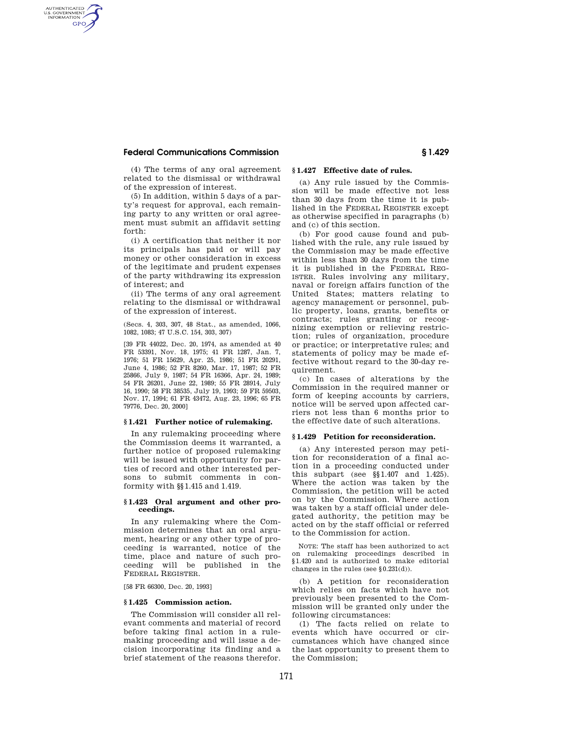# **Federal Communications Commission § 1.429**

AUTHENTICATED<br>U.S. GOVERNMENT<br>INFORMATION **GPO** 

> (4) The terms of any oral agreement related to the dismissal or withdrawal of the expression of interest.

> (5) In addition, within 5 days of a party's request for approval, each remaining party to any written or oral agreement must submit an affidavit setting forth:

> (i) A certification that neither it nor its principals has paid or will pay money or other consideration in excess of the legitimate and prudent expenses of the party withdrawing its expression of interest; and

> (ii) The terms of any oral agreement relating to the dismissal or withdrawal of the expression of interest.

> (Secs. 4, 303, 307, 48 Stat., as amended, 1066, 1082, 1083; 47 U.S.C. 154, 303, 307)

> [39 FR 44022, Dec. 20, 1974, as amended at 40 FR 53391, Nov. 18, 1975; 41 FR 1287, Jan. 7, 1976; 51 FR 15629, Apr. 25, 1986; 51 FR 20291, June 4, 1986; 52 FR 8260, Mar. 17, 1987; 52 FR 25866, July 9, 1987; 54 FR 16366, Apr. 24, 1989; 54 FR 26201, June 22, 1989; 55 FR 28914, July 16, 1990; 58 FR 38535, July 19, 1993; 59 FR 59503, Nov. 17, 1994; 61 FR 43472, Aug. 23, 1996; 65 FR 79776, Dec. 20, 2000]

# **§ 1.421 Further notice of rulemaking.**

In any rulemaking proceeding where the Commission deems it warranted, a further notice of proposed rulemaking will be issued with opportunity for parties of record and other interested persons to submit comments in conformity with §§ 1.415 and 1.419.

#### **§ 1.423 Oral argument and other proceedings.**

In any rulemaking where the Commission determines that an oral argument, hearing or any other type of proceeding is warranted, notice of the time, place and nature of such proceeding will be published in the FEDERAL REGISTER.

[58 FR 66300, Dec. 20, 1993]

# **§ 1.425 Commission action.**

The Commission will consider all relevant comments and material of record before taking final action in a rulemaking proceeding and will issue a decision incorporating its finding and a brief statement of the reasons therefor.

# **§ 1.427 Effective date of rules.**

(a) Any rule issued by the Commission will be made effective not less than 30 days from the time it is published in the FEDERAL REGISTER except as otherwise specified in paragraphs (b) and (c) of this section.

(b) For good cause found and published with the rule, any rule issued by the Commission may be made effective within less than 30 days from the time it is published in the FEDERAL REG-ISTER. Rules involving any military, naval or foreign affairs function of the United States; matters relating to agency management or personnel, public property, loans, grants, benefits or contracts; rules granting or recognizing exemption or relieving restriction; rules of organization, procedure or practice; or interpretative rules; and statements of policy may be made effective without regard to the 30-day requirement.

(c) In cases of alterations by the Commission in the required manner or form of keeping accounts by carriers, notice will be served upon affected carriers not less than 6 months prior to the effective date of such alterations.

#### **§ 1.429 Petition for reconsideration.**

(a) Any interested person may petition for reconsideration of a final action in a proceeding conducted under this subpart (see §§ 1.407 and 1.425). Where the action was taken by the Commission, the petition will be acted on by the Commission. Where action was taken by a staff official under delegated authority, the petition may be acted on by the staff official or referred to the Commission for action.

NOTE: The staff has been authorized to act on rulemaking proceedings described in § 1.420 and is authorized to make editorial changes in the rules (see § 0.231(d)).

(b) A petition for reconsideration which relies on facts which have not previously been presented to the Commission will be granted only under the following circumstances:

(1) The facts relied on relate to events which have occurred or circumstances which have changed since the last opportunity to present them to the Commission;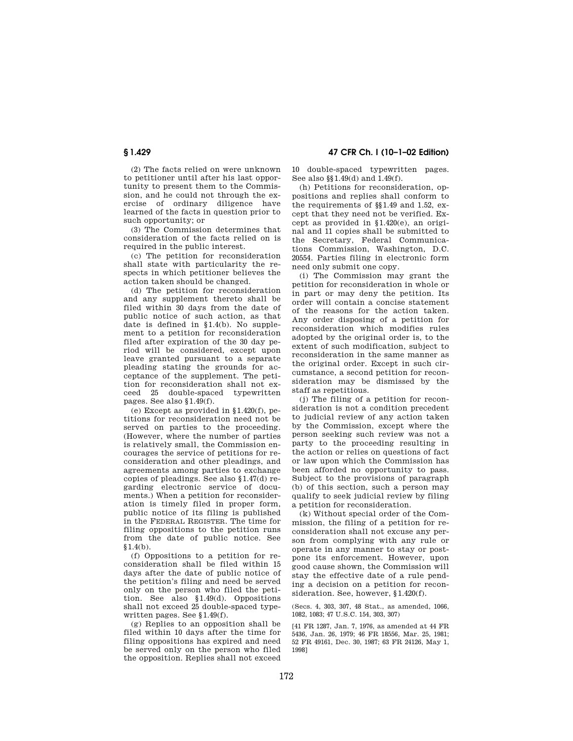**§ 1.429 47 CFR Ch. I (10–1–02 Edition)**

(2) The facts relied on were unknown to petitioner until after his last opportunity to present them to the Commission, and he could not through the exercise of ordinary diligence have learned of the facts in question prior to such opportunity; or

(3) The Commission determines that consideration of the facts relied on is required in the public interest.

(c) The petition for reconsideration shall state with particularity the respects in which petitioner believes the action taken should be changed.

(d) The petition for reconsideration and any supplement thereto shall be filed within 30 days from the date of public notice of such action, as that date is defined in § 1.4(b). No supplement to a petition for reconsideration filed after expiration of the 30 day period will be considered, except upon leave granted pursuant to a separate pleading stating the grounds for acceptance of the supplement. The petition for reconsideration shall not exceed 25 double-spaced typewritten pages. See also § 1.49(f).

(e) Except as provided in § 1.420(f), petitions for reconsideration need not be served on parties to the proceeding. (However, where the number of parties is relatively small, the Commission encourages the service of petitions for reconsideration and other pleadings, and agreements among parties to exchange copies of pleadings. See also § 1.47(d) regarding electronic service of documents.) When a petition for reconsideration is timely filed in proper form, public notice of its filing is published in the FEDERAL REGISTER. The time for filing oppositions to the petition runs from the date of public notice. See  $$1.4(h).$ 

(f) Oppositions to a petition for reconsideration shall be filed within 15 days after the date of public notice of the petition's filing and need be served only on the person who filed the petition. See also § 1.49(d). Oppositions shall not exceed 25 double-spaced typewritten pages. See § 1.49(f).

(g) Replies to an opposition shall be filed within 10 days after the time for filing oppositions has expired and need be served only on the person who filed the opposition. Replies shall not exceed 10 double-spaced typewritten pages. See also §§ 1.49(d) and 1.49(f).

(h) Petitions for reconsideration, oppositions and replies shall conform to the requirements of §§ 1.49 and 1.52, except that they need not be verified. Except as provided in § 1.420(e), an original and 11 copies shall be submitted to the Secretary, Federal Communications Commission, Washington, D.C. 20554. Parties filing in electronic form need only submit one copy.

(i) The Commission may grant the petition for reconsideration in whole or in part or may deny the petition. Its order will contain a concise statement of the reasons for the action taken. Any order disposing of a petition for reconsideration which modifies rules adopted by the original order is, to the extent of such modification, subject to reconsideration in the same manner as the original order. Except in such circumstance, a second petition for reconsideration may be dismissed by the staff as repetitious.

(j) The filing of a petition for reconsideration is not a condition precedent to judicial review of any action taken by the Commission, except where the person seeking such review was not a party to the proceeding resulting in the action or relies on questions of fact or law upon which the Commission has been afforded no opportunity to pass. Subject to the provisions of paragraph (b) of this section, such a person may qualify to seek judicial review by filing a petition for reconsideration.

(k) Without special order of the Commission, the filing of a petition for reconsideration shall not excuse any person from complying with any rule or operate in any manner to stay or postpone its enforcement. However, upon good cause shown, the Commission will stay the effective date of a rule pending a decision on a petition for reconsideration. See, however, § 1.420(f).

(Secs. 4, 303, 307, 48 Stat., as amended, 1066, 1082, 1083; 47 U.S.C. 154, 303, 307)

[41 FR 1287, Jan. 7, 1976, as amended at 44 FR 5436, Jan. 26, 1979; 46 FR 18556, Mar. 25, 1981; 52 FR 49161, Dec. 30, 1987; 63 FR 24126, May 1, 1998]